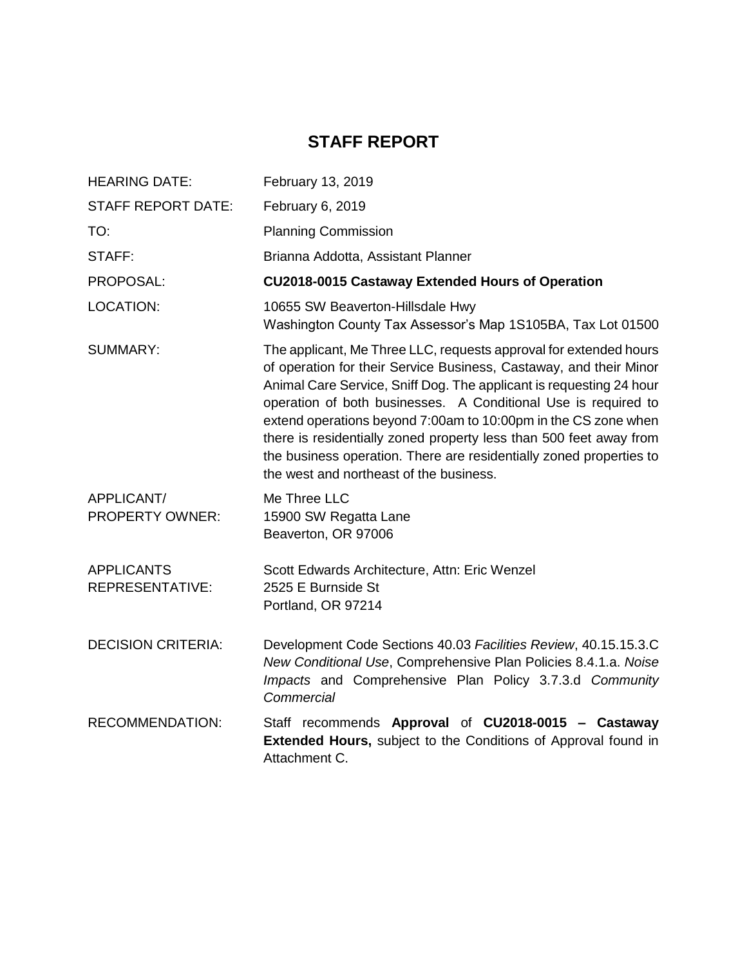# **STAFF REPORT**

| <b>HEARING DATE:</b>                 | February 13, 2019                                                                                                                                                                                                                                                                                                                                                                                                                                                                                                                          |
|--------------------------------------|--------------------------------------------------------------------------------------------------------------------------------------------------------------------------------------------------------------------------------------------------------------------------------------------------------------------------------------------------------------------------------------------------------------------------------------------------------------------------------------------------------------------------------------------|
| <b>STAFF REPORT DATE:</b>            | February 6, 2019                                                                                                                                                                                                                                                                                                                                                                                                                                                                                                                           |
| TO:                                  | <b>Planning Commission</b>                                                                                                                                                                                                                                                                                                                                                                                                                                                                                                                 |
| STAFF:                               | Brianna Addotta, Assistant Planner                                                                                                                                                                                                                                                                                                                                                                                                                                                                                                         |
| PROPOSAL:                            | CU2018-0015 Castaway Extended Hours of Operation                                                                                                                                                                                                                                                                                                                                                                                                                                                                                           |
| LOCATION:                            | 10655 SW Beaverton-Hillsdale Hwy<br>Washington County Tax Assessor's Map 1S105BA, Tax Lot 01500                                                                                                                                                                                                                                                                                                                                                                                                                                            |
| <b>SUMMARY:</b>                      | The applicant, Me Three LLC, requests approval for extended hours<br>of operation for their Service Business, Castaway, and their Minor<br>Animal Care Service, Sniff Dog. The applicant is requesting 24 hour<br>operation of both businesses. A Conditional Use is required to<br>extend operations beyond 7:00am to 10:00pm in the CS zone when<br>there is residentially zoned property less than 500 feet away from<br>the business operation. There are residentially zoned properties to<br>the west and northeast of the business. |
| APPLICANT/<br><b>PROPERTY OWNER:</b> | Me Three LLC<br>15900 SW Regatta Lane<br>Beaverton, OR 97006                                                                                                                                                                                                                                                                                                                                                                                                                                                                               |
| <b>APPLICANTS</b><br>REPRESENTATIVE: | Scott Edwards Architecture, Attn: Eric Wenzel<br>2525 E Burnside St<br>Portland, OR 97214                                                                                                                                                                                                                                                                                                                                                                                                                                                  |
| <b>DECISION CRITERIA:</b>            | Development Code Sections 40.03 Facilities Review, 40.15.15.3.C<br>New Conditional Use, Comprehensive Plan Policies 8.4.1.a. Noise<br>Impacts and Comprehensive Plan Policy 3.7.3.d Community<br>Commercial                                                                                                                                                                                                                                                                                                                                |
| <b>RECOMMENDATION:</b>               | Staff recommends Approval of CU2018-0015 - Castaway<br><b>Extended Hours, subject to the Conditions of Approval found in</b><br>Attachment C.                                                                                                                                                                                                                                                                                                                                                                                              |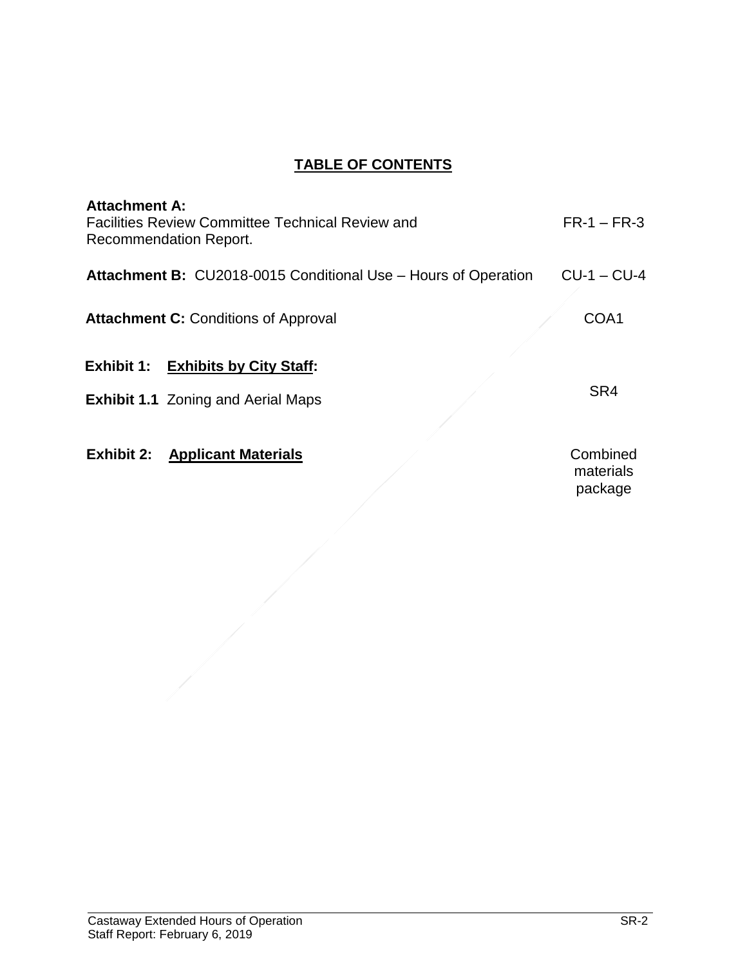# **TABLE OF CONTENTS**

| <b>Attachment A:</b><br><b>Facilities Review Committee Technical Review and</b><br>Recommendation Report. | $FR-1 - FR-3$                    |
|-----------------------------------------------------------------------------------------------------------|----------------------------------|
| <b>Attachment B: CU2018-0015 Conditional Use - Hours of Operation</b>                                     | $CU-1 - CU-4$                    |
| <b>Attachment C: Conditions of Approval</b>                                                               | COA1                             |
| <b>Exhibit 1: Exhibits by City Staff:</b>                                                                 |                                  |
| <b>Exhibit 1.1</b> Zoning and Aerial Maps                                                                 | SR4                              |
| <b>Exhibit 2: Applicant Materials</b>                                                                     | Combined<br>materials<br>package |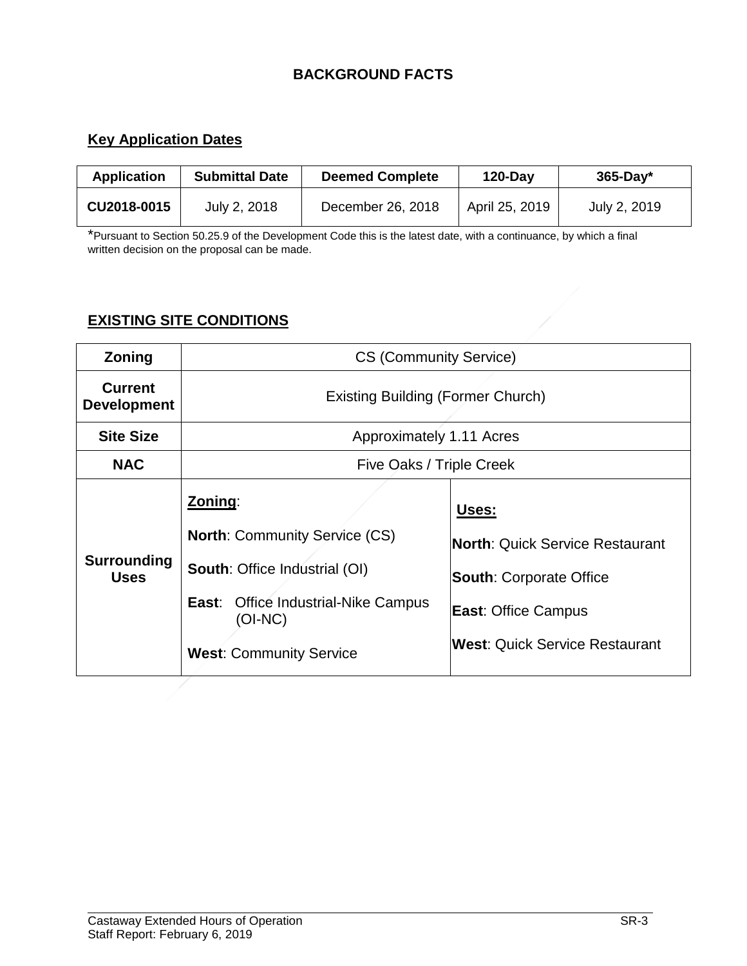# **BACKGROUND FACTS**

# **Key Application Dates**

| <b>Application</b> | <b>Submittal Date</b> | <b>Deemed Complete</b> | $120$ -Day     | $365$ -Day*  |
|--------------------|-----------------------|------------------------|----------------|--------------|
| CU2018-0015        | July 2, 2018          | December 26, 2018      | April 25, 2019 | July 2, 2019 |

\*Pursuant to Section 50.25.9 of the Development Code this is the latest date, with a continuance, by which a final written decision on the proposal can be made.

# **EXISTING SITE CONDITIONS**

| Zoning                               | <b>CS (Community Service)</b>                                                                                                                                                         |                                                                                                                                                          |  |
|--------------------------------------|---------------------------------------------------------------------------------------------------------------------------------------------------------------------------------------|----------------------------------------------------------------------------------------------------------------------------------------------------------|--|
| <b>Current</b><br><b>Development</b> | <b>Existing Building (Former Church)</b>                                                                                                                                              |                                                                                                                                                          |  |
| <b>Site Size</b>                     | Approximately 1.11 Acres                                                                                                                                                              |                                                                                                                                                          |  |
| <b>NAC</b>                           | Five Oaks / Triple Creek                                                                                                                                                              |                                                                                                                                                          |  |
| Surrounding<br><b>Uses</b>           | Zoning:<br><b>North: Community Service (CS)</b><br><b>South: Office Industrial (OI)</b><br><b>Office Industrial-Nike Campus</b><br>East:<br>(OI-NC)<br><b>West: Community Service</b> | Uses:<br><b>North: Quick Service Restaurant</b><br><b>South: Corporate Office</b><br><b>East: Office Campus</b><br><b>West: Quick Service Restaurant</b> |  |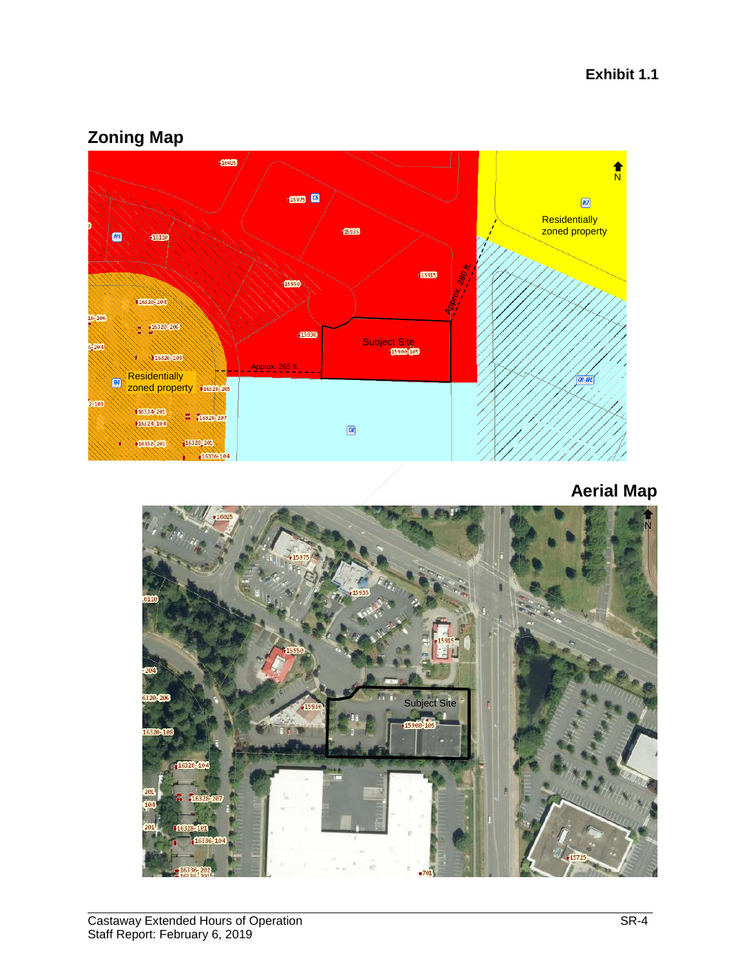# **Zoning Map**



**Aerial Map**

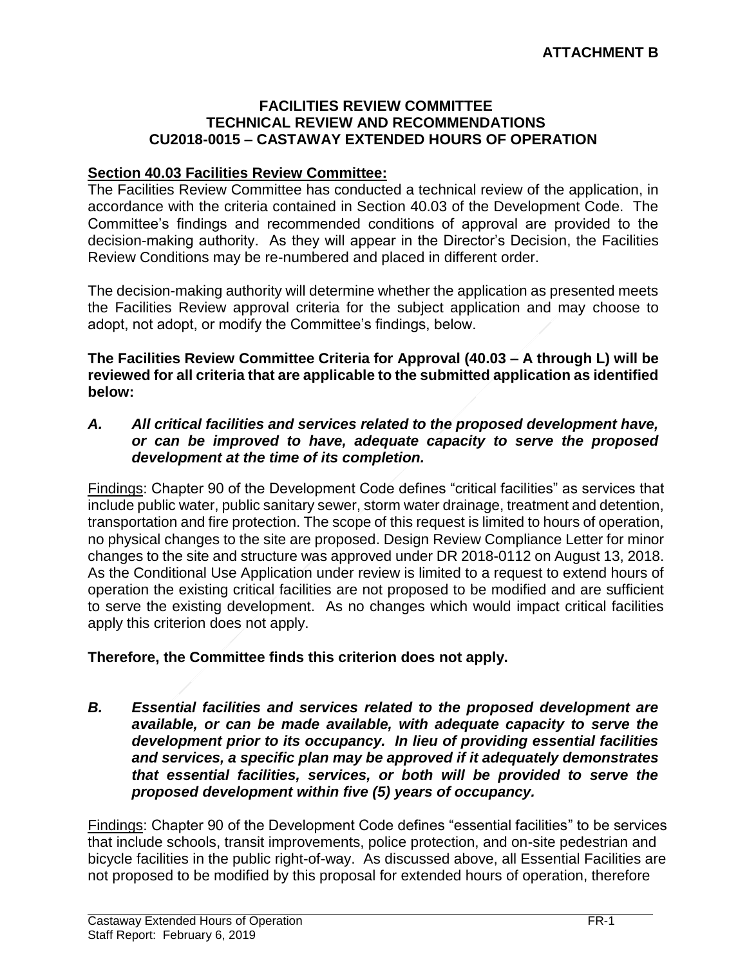#### **FACILITIES REVIEW COMMITTEE TECHNICAL REVIEW AND RECOMMENDATIONS CU2018-0015 – CASTAWAY EXTENDED HOURS OF OPERATION**

#### **Section 40.03 Facilities Review Committee:**

The Facilities Review Committee has conducted a technical review of the application, in accordance with the criteria contained in Section 40.03 of the Development Code. The Committee's findings and recommended conditions of approval are provided to the decision-making authority. As they will appear in the Director's Decision, the Facilities Review Conditions may be re-numbered and placed in different order.

The decision-making authority will determine whether the application as presented meets the Facilities Review approval criteria for the subject application and may choose to adopt, not adopt, or modify the Committee's findings, below.

**The Facilities Review Committee Criteria for Approval (40.03 – A through L) will be reviewed for all criteria that are applicable to the submitted application as identified below:**

*A. All critical facilities and services related to the proposed development have, or can be improved to have, adequate capacity to serve the proposed development at the time of its completion.*

Findings: Chapter 90 of the Development Code defines "critical facilities" as services that include public water, public sanitary sewer, storm water drainage, treatment and detention, transportation and fire protection. The scope of this request is limited to hours of operation, no physical changes to the site are proposed. Design Review Compliance Letter for minor changes to the site and structure was approved under DR 2018-0112 on August 13, 2018. As the Conditional Use Application under review is limited to a request to extend hours of operation the existing critical facilities are not proposed to be modified and are sufficient to serve the existing development. As no changes which would impact critical facilities apply this criterion does not apply.

#### **Therefore, the Committee finds this criterion does not apply.**

*B. Essential facilities and services related to the proposed development are available, or can be made available, with adequate capacity to serve the development prior to its occupancy. In lieu of providing essential facilities and services, a specific plan may be approved if it adequately demonstrates that essential facilities, services, or both will be provided to serve the proposed development within five (5) years of occupancy.*

Findings: Chapter 90 of the Development Code defines "essential facilities" to be services that include schools, transit improvements, police protection, and on-site pedestrian and bicycle facilities in the public right-of-way. As discussed above, all Essential Facilities are not proposed to be modified by this proposal for extended hours of operation, therefore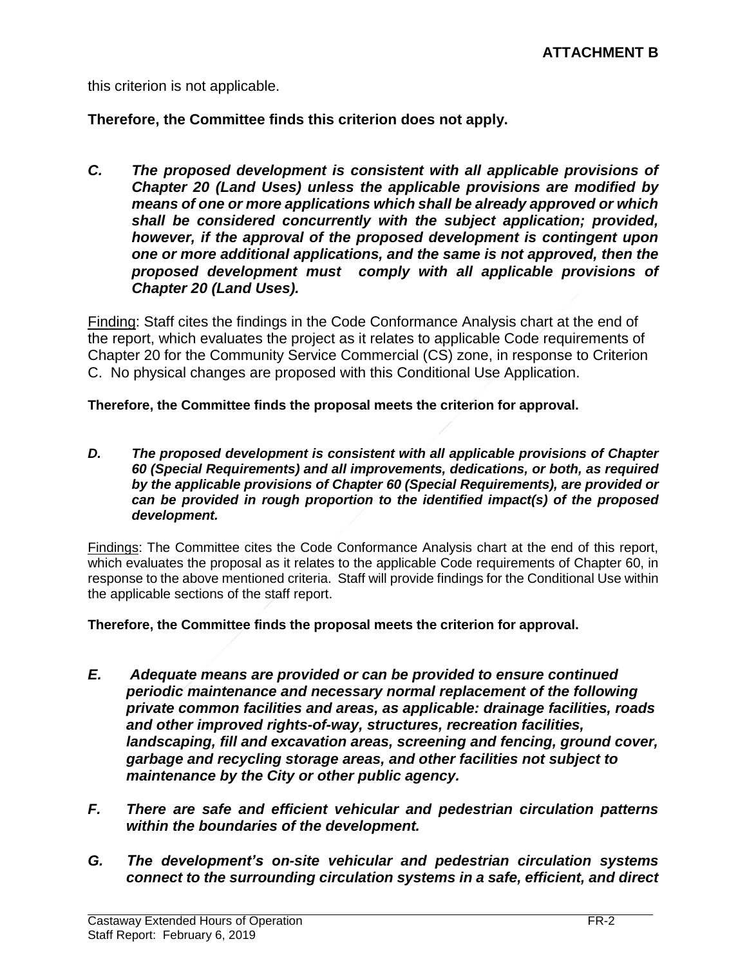this criterion is not applicable.

**Therefore, the Committee finds this criterion does not apply.**

*C. The proposed development is consistent with all applicable provisions of Chapter 20 (Land Uses) unless the applicable provisions are modified by means of one or more applications which shall be already approved or which shall be considered concurrently with the subject application; provided, however, if the approval of the proposed development is contingent upon one or more additional applications, and the same is not approved, then the proposed development must comply with all applicable provisions of Chapter 20 (Land Uses).*

Finding: Staff cites the findings in the Code Conformance Analysis chart at the end of the report, which evaluates the project as it relates to applicable Code requirements of Chapter 20 for the Community Service Commercial (CS) zone, in response to Criterion C. No physical changes are proposed with this Conditional Use Application.

**Therefore, the Committee finds the proposal meets the criterion for approval.**

*D. The proposed development is consistent with all applicable provisions of Chapter 60 (Special Requirements) and all improvements, dedications, or both, as required by the applicable provisions of Chapter 60 (Special Requirements), are provided or can be provided in rough proportion to the identified impact(s) of the proposed development.*

Findings: The Committee cites the Code Conformance Analysis chart at the end of this report, which evaluates the proposal as it relates to the applicable Code requirements of Chapter 60, in response to the above mentioned criteria. Staff will provide findings for the Conditional Use within the applicable sections of the staff report.

**Therefore, the Committee finds the proposal meets the criterion for approval.**

- *E. Adequate means are provided or can be provided to ensure continued periodic maintenance and necessary normal replacement of the following private common facilities and areas, as applicable: drainage facilities, roads and other improved rights-of-way, structures, recreation facilities, landscaping, fill and excavation areas, screening and fencing, ground cover, garbage and recycling storage areas, and other facilities not subject to maintenance by the City or other public agency.*
- *F. There are safe and efficient vehicular and pedestrian circulation patterns within the boundaries of the development.*
- *G. The development's on-site vehicular and pedestrian circulation systems connect to the surrounding circulation systems in a safe, efficient, and direct*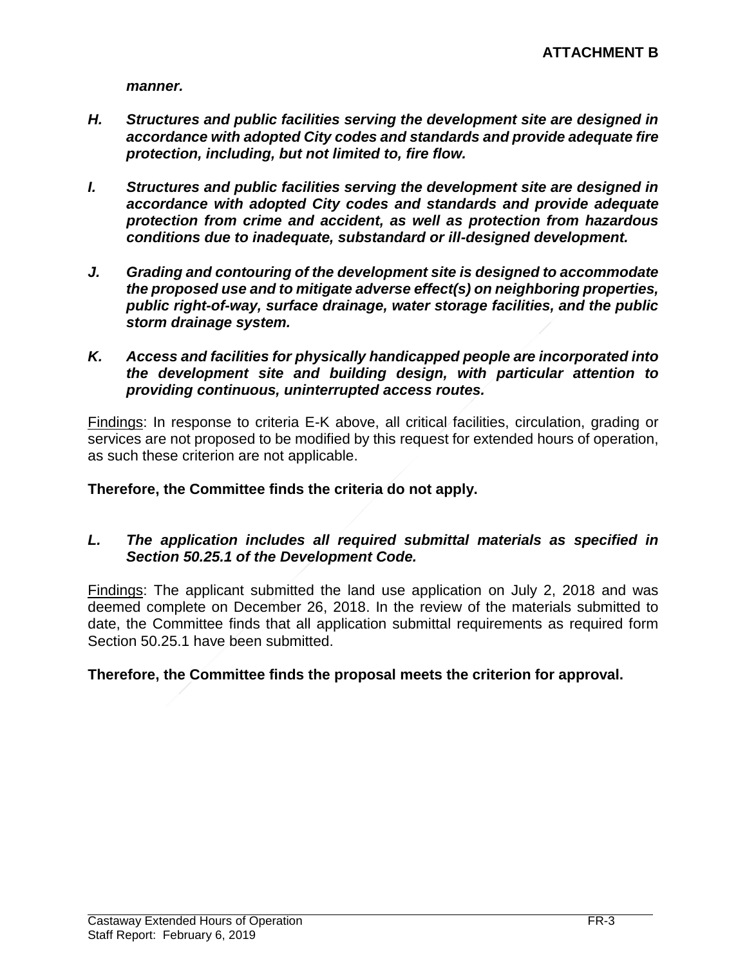*manner.*

- *H. Structures and public facilities serving the development site are designed in accordance with adopted City codes and standards and provide adequate fire protection, including, but not limited to, fire flow.*
- *I. Structures and public facilities serving the development site are designed in accordance with adopted City codes and standards and provide adequate protection from crime and accident, as well as protection from hazardous conditions due to inadequate, substandard or ill-designed development.*
- *J. Grading and contouring of the development site is designed to accommodate the proposed use and to mitigate adverse effect(s) on neighboring properties, public right-of-way, surface drainage, water storage facilities, and the public storm drainage system.*
- *K. Access and facilities for physically handicapped people are incorporated into the development site and building design, with particular attention to providing continuous, uninterrupted access routes.*

Findings: In response to criteria E-K above, all critical facilities, circulation, grading or services are not proposed to be modified by this request for extended hours of operation, as such these criterion are not applicable.

**Therefore, the Committee finds the criteria do not apply.**

#### *L. The application includes all required submittal materials as specified in Section 50.25.1 of the Development Code.*

Findings: The applicant submitted the land use application on July 2, 2018 and was deemed complete on December 26, 2018. In the review of the materials submitted to date, the Committee finds that all application submittal requirements as required form Section 50.25.1 have been submitted.

## **Therefore, the Committee finds the proposal meets the criterion for approval.**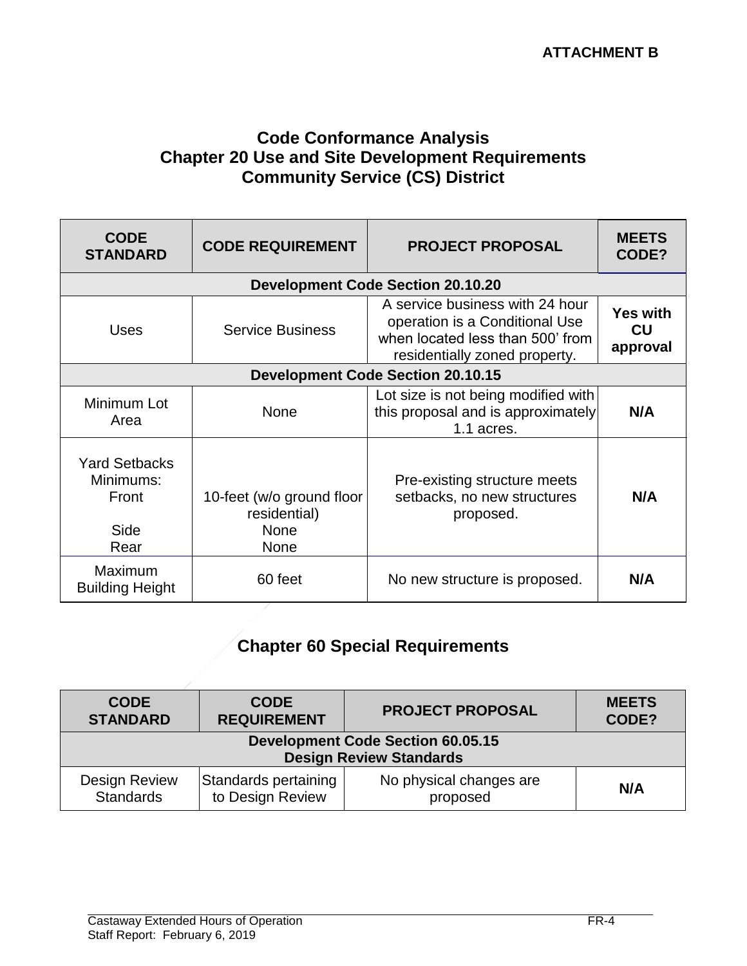# **Code Conformance Analysis Chapter 20 Use and Site Development Requirements Community Service (CS) District**

| <b>CODE</b><br><b>STANDARD</b>                             | <b>CODE REQUIREMENT</b>                                                 | <b>PROJECT PROPOSAL</b>                                                                                                                | <b>MEETS</b><br>CODE?             |  |  |
|------------------------------------------------------------|-------------------------------------------------------------------------|----------------------------------------------------------------------------------------------------------------------------------------|-----------------------------------|--|--|
|                                                            | <b>Development Code Section 20.10.20</b>                                |                                                                                                                                        |                                   |  |  |
| <b>Uses</b>                                                | <b>Service Business</b>                                                 | A service business with 24 hour<br>operation is a Conditional Use<br>when located less than 500' from<br>residentially zoned property. | <b>Yes with</b><br>CU<br>approval |  |  |
| <b>Development Code Section 20.10.15</b>                   |                                                                         |                                                                                                                                        |                                   |  |  |
| Minimum Lot<br>Area                                        | <b>None</b>                                                             | Lot size is not being modified with<br>this proposal and is approximately<br>1.1 acres.                                                | N/A                               |  |  |
| <b>Yard Setbacks</b><br>Minimums:<br>Front<br>Side<br>Rear | 10-feet (w/o ground floor<br>residential)<br><b>None</b><br><b>None</b> | Pre-existing structure meets<br>setbacks, no new structures<br>proposed.                                                               | N/A                               |  |  |
| Maximum<br><b>Building Height</b>                          | 60 feet                                                                 | No new structure is proposed.                                                                                                          | N/A                               |  |  |

# **Chapter 60 Special Requirements**

| <b>CODE</b>                                                                | <b>CODE</b>          | <b>PROJECT PROPOSAL</b> | <b>MEETS</b> |
|----------------------------------------------------------------------------|----------------------|-------------------------|--------------|
| <b>STANDARD</b>                                                            | <b>REQUIREMENT</b>   |                         | CODE?        |
| <b>Development Code Section 60.05.15</b><br><b>Design Review Standards</b> |                      |                         |              |
| <b>Design Review</b>                                                       | Standards pertaining | No physical changes are | N/A          |
| <b>Standards</b>                                                           | to Design Review     | proposed                |              |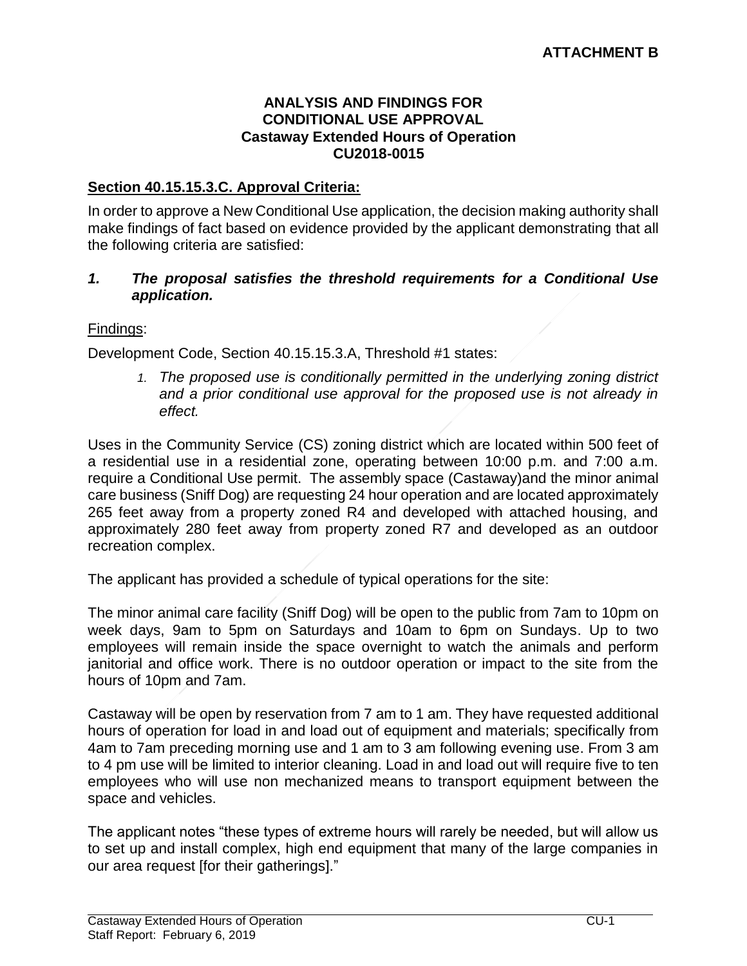#### **ANALYSIS AND FINDINGS FOR CONDITIONAL USE APPROVAL Castaway Extended Hours of Operation CU2018-0015**

## **Section 40.15.15.3.C. Approval Criteria:**

In order to approve a New Conditional Use application, the decision making authority shall make findings of fact based on evidence provided by the applicant demonstrating that all the following criteria are satisfied:

#### *1. The proposal satisfies the threshold requirements for a Conditional Use application.*

#### Findings:

Development Code, Section 40.15.15.3.A, Threshold #1 states:

1. The proposed use is conditionally permitted in the underlying zoning district *and a prior conditional use approval for the proposed use is not already in effect.* 

Uses in the Community Service (CS) zoning district which are located within 500 feet of a residential use in a residential zone, operating between 10:00 p.m. and 7:00 a.m. require a Conditional Use permit. The assembly space (Castaway)and the minor animal care business (Sniff Dog) are requesting 24 hour operation and are located approximately 265 feet away from a property zoned R4 and developed with attached housing, and approximately 280 feet away from property zoned R7 and developed as an outdoor recreation complex.

The applicant has provided a schedule of typical operations for the site:

The minor animal care facility (Sniff Dog) will be open to the public from 7am to 10pm on week days, 9am to 5pm on Saturdays and 10am to 6pm on Sundays. Up to two employees will remain inside the space overnight to watch the animals and perform janitorial and office work. There is no outdoor operation or impact to the site from the hours of 10pm and 7am.

Castaway will be open by reservation from 7 am to 1 am. They have requested additional hours of operation for load in and load out of equipment and materials; specifically from 4am to 7am preceding morning use and 1 am to 3 am following evening use. From 3 am to 4 pm use will be limited to interior cleaning. Load in and load out will require five to ten employees who will use non mechanized means to transport equipment between the space and vehicles.

The applicant notes "these types of extreme hours will rarely be needed, but will allow us to set up and install complex, high end equipment that many of the large companies in our area request [for their gatherings]."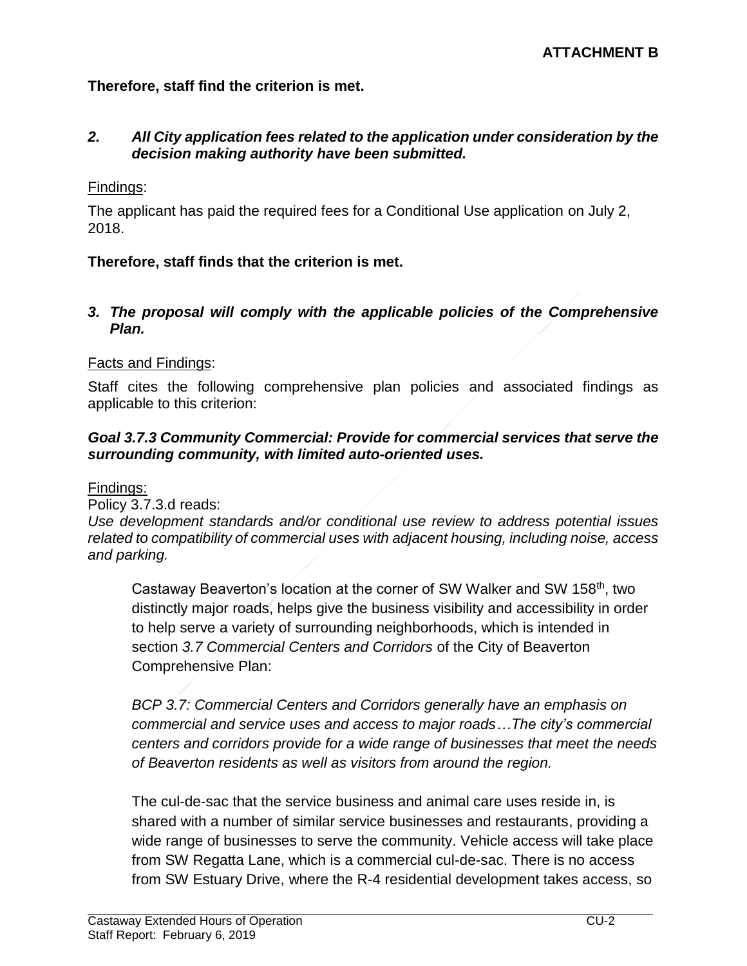**Therefore, staff find the criterion is met.**

#### *2. All City application fees related to the application under consideration by the decision making authority have been submitted.*

#### Findings:

The applicant has paid the required fees for a Conditional Use application on July 2, 2018.

## **Therefore, staff finds that the criterion is met.**

#### *3. The proposal will comply with the applicable policies of the Comprehensive Plan.*

#### Facts and Findings:

Staff cites the following comprehensive plan policies and associated findings as applicable to this criterion:

#### *Goal 3.7.3 Community Commercial: Provide for commercial services that serve the surrounding community, with limited auto-oriented uses.*

#### Findings:

Policy 3.7.3.d reads:

*Use development standards and/or conditional use review to address potential issues related to compatibility of commercial uses with adjacent housing, including noise, access and parking.* 

Castaway Beaverton's location at the corner of SW Walker and SW 158<sup>th</sup>, two distinctly major roads, helps give the business visibility and accessibility in order to help serve a variety of surrounding neighborhoods, which is intended in section *3.7 Commercial Centers and Corridors* of the City of Beaverton Comprehensive Plan:

*BCP 3.7: Commercial Centers and Corridors generally have an emphasis on commercial and service uses and access to major roads…The city's commercial centers and corridors provide for a wide range of businesses that meet the needs of Beaverton residents as well as visitors from around the region.*

The cul-de-sac that the service business and animal care uses reside in, is shared with a number of similar service businesses and restaurants, providing a wide range of businesses to serve the community. Vehicle access will take place from SW Regatta Lane, which is a commercial cul-de-sac. There is no access from SW Estuary Drive, where the R-4 residential development takes access, so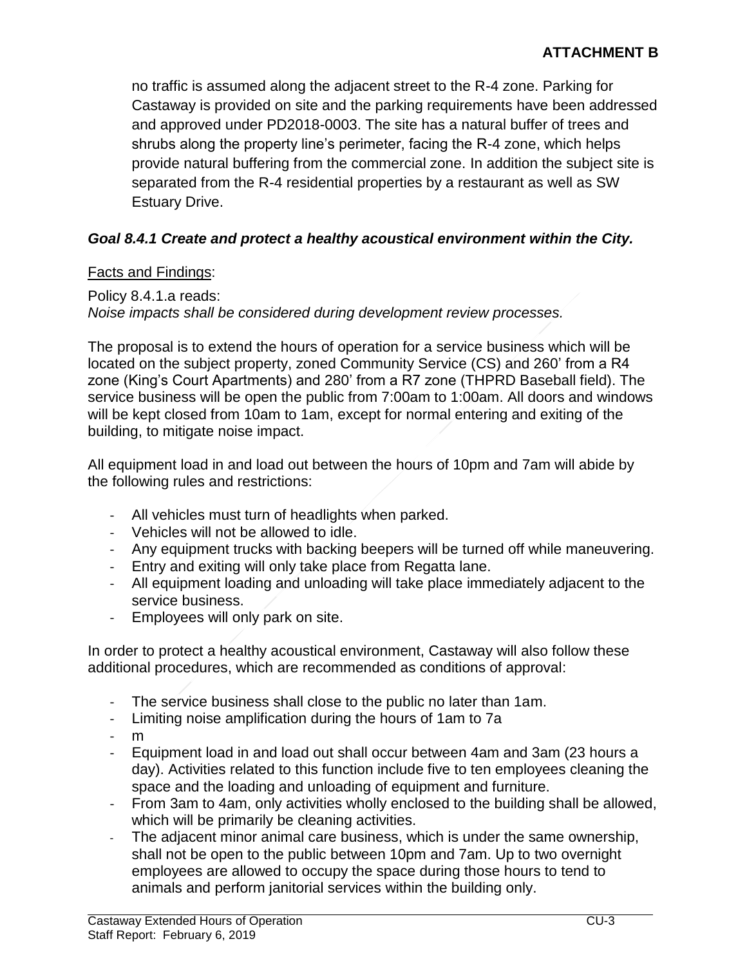no traffic is assumed along the adjacent street to the R-4 zone. Parking for Castaway is provided on site and the parking requirements have been addressed and approved under PD2018-0003. The site has a natural buffer of trees and shrubs along the property line's perimeter, facing the R-4 zone, which helps provide natural buffering from the commercial zone. In addition the subject site is separated from the R-4 residential properties by a restaurant as well as SW Estuary Drive.

# *Goal 8.4.1 Create and protect a healthy acoustical environment within the City.*

# Facts and Findings:

Policy 8.4.1.a reads: *Noise impacts shall be considered during development review processes.*

The proposal is to extend the hours of operation for a service business which will be located on the subject property, zoned Community Service (CS) and 260' from a R4 zone (King's Court Apartments) and 280' from a R7 zone (THPRD Baseball field). The service business will be open the public from 7:00am to 1:00am. All doors and windows will be kept closed from 10am to 1am, except for normal entering and exiting of the building, to mitigate noise impact.

All equipment load in and load out between the hours of 10pm and 7am will abide by the following rules and restrictions:

- All vehicles must turn of headlights when parked.
- Vehicles will not be allowed to idle.
- Any equipment trucks with backing beepers will be turned off while maneuvering.
- Entry and exiting will only take place from Regatta lane.
- All equipment loading and unloading will take place immediately adjacent to the service business.
- Employees will only park on site.

In order to protect a healthy acoustical environment, Castaway will also follow these additional procedures, which are recommended as conditions of approval:

- The service business shall close to the public no later than 1am.
- Limiting noise amplification during the hours of 1am to 7a
- m
- Equipment load in and load out shall occur between 4am and 3am (23 hours a day). Activities related to this function include five to ten employees cleaning the space and the loading and unloading of equipment and furniture.
- From 3am to 4am, only activities wholly enclosed to the building shall be allowed, which will be primarily be cleaning activities.
- The adjacent minor animal care business, which is under the same ownership, shall not be open to the public between 10pm and 7am. Up to two overnight employees are allowed to occupy the space during those hours to tend to animals and perform janitorial services within the building only.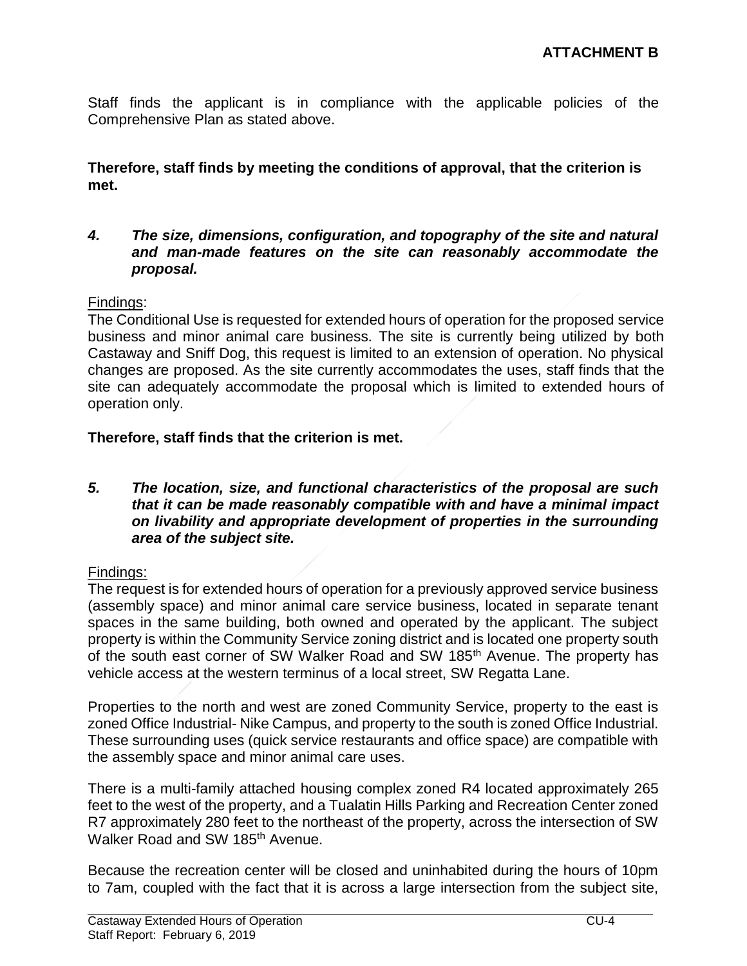Staff finds the applicant is in compliance with the applicable policies of the Comprehensive Plan as stated above.

**Therefore, staff finds by meeting the conditions of approval, that the criterion is met.**

*4. The size, dimensions, configuration, and topography of the site and natural and man-made features on the site can reasonably accommodate the proposal.*

#### Findings:

The Conditional Use is requested for extended hours of operation for the proposed service business and minor animal care business. The site is currently being utilized by both Castaway and Sniff Dog, this request is limited to an extension of operation. No physical changes are proposed. As the site currently accommodates the uses, staff finds that the site can adequately accommodate the proposal which is limited to extended hours of operation only.

## **Therefore, staff finds that the criterion is met.**

*5. The location, size, and functional characteristics of the proposal are such that it can be made reasonably compatible with and have a minimal impact on livability and appropriate development of properties in the surrounding area of the subject site.*

## Findings:

The request is for extended hours of operation for a previously approved service business (assembly space) and minor animal care service business, located in separate tenant spaces in the same building, both owned and operated by the applicant. The subject property is within the Community Service zoning district and is located one property south of the south east corner of SW Walker Road and SW 185<sup>th</sup> Avenue. The property has vehicle access at the western terminus of a local street, SW Regatta Lane.

Properties to the north and west are zoned Community Service, property to the east is zoned Office Industrial- Nike Campus, and property to the south is zoned Office Industrial. These surrounding uses (quick service restaurants and office space) are compatible with the assembly space and minor animal care uses.

There is a multi-family attached housing complex zoned R4 located approximately 265 feet to the west of the property, and a Tualatin Hills Parking and Recreation Center zoned R7 approximately 280 feet to the northeast of the property, across the intersection of SW Walker Road and SW 185<sup>th</sup> Avenue.

Because the recreation center will be closed and uninhabited during the hours of 10pm to 7am, coupled with the fact that it is across a large intersection from the subject site,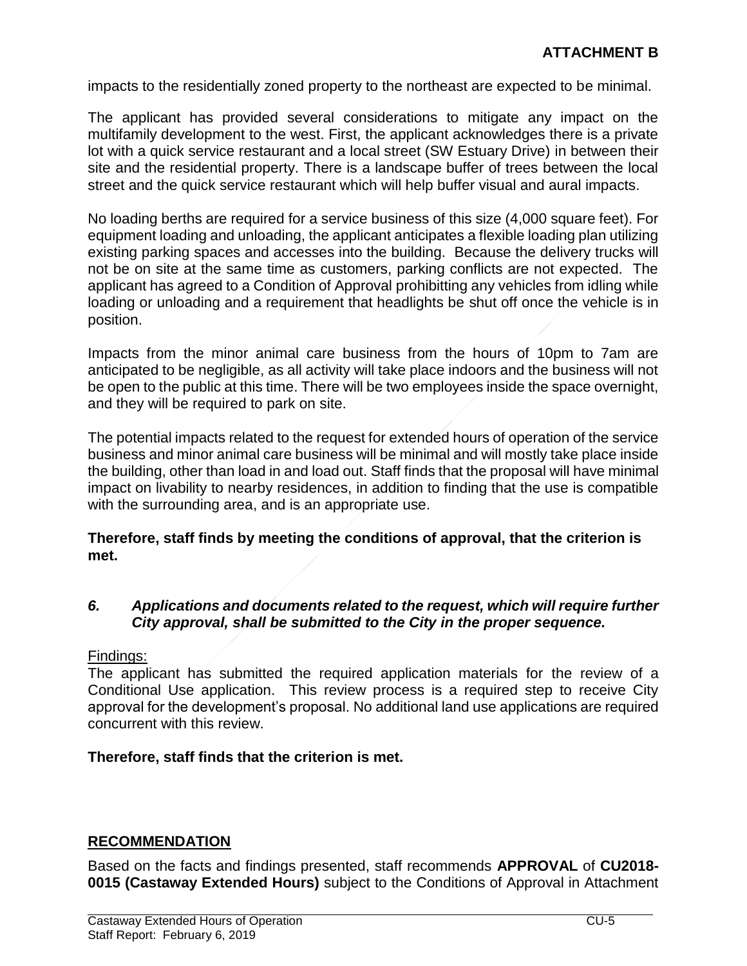impacts to the residentially zoned property to the northeast are expected to be minimal.

The applicant has provided several considerations to mitigate any impact on the multifamily development to the west. First, the applicant acknowledges there is a private lot with a quick service restaurant and a local street (SW Estuary Drive) in between their site and the residential property. There is a landscape buffer of trees between the local street and the quick service restaurant which will help buffer visual and aural impacts.

No loading berths are required for a service business of this size (4,000 square feet). For equipment loading and unloading, the applicant anticipates a flexible loading plan utilizing existing parking spaces and accesses into the building. Because the delivery trucks will not be on site at the same time as customers, parking conflicts are not expected. The applicant has agreed to a Condition of Approval prohibitting any vehicles from idling while loading or unloading and a requirement that headlights be shut off once the vehicle is in position.

Impacts from the minor animal care business from the hours of 10pm to 7am are anticipated to be negligible, as all activity will take place indoors and the business will not be open to the public at this time. There will be two employees inside the space overnight, and they will be required to park on site.

The potential impacts related to the request for extended hours of operation of the service business and minor animal care business will be minimal and will mostly take place inside the building, other than load in and load out. Staff finds that the proposal will have minimal impact on livability to nearby residences, in addition to finding that the use is compatible with the surrounding area, and is an appropriate use.

**Therefore, staff finds by meeting the conditions of approval, that the criterion is met.**

#### *6. Applications and documents related to the request, which will require further City approval, shall be submitted to the City in the proper sequence.*

Findings:

The applicant has submitted the required application materials for the review of a Conditional Use application. This review process is a required step to receive City approval for the development's proposal. No additional land use applications are required concurrent with this review.

#### **Therefore, staff finds that the criterion is met.**

#### **RECOMMENDATION**

Based on the facts and findings presented, staff recommends **APPROVAL** of **CU2018- 0015 (Castaway Extended Hours)** subject to the Conditions of Approval in Attachment